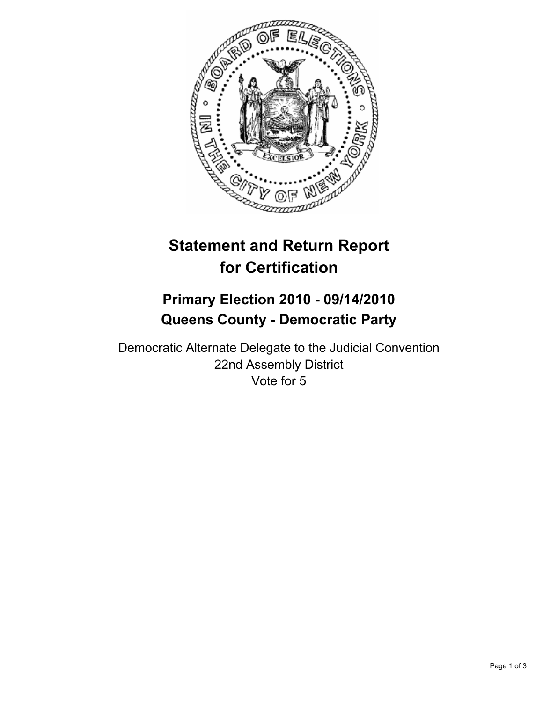

# **Statement and Return Report for Certification**

## **Primary Election 2010 - 09/14/2010 Queens County - Democratic Party**

Democratic Alternate Delegate to the Judicial Convention 22nd Assembly District Vote for 5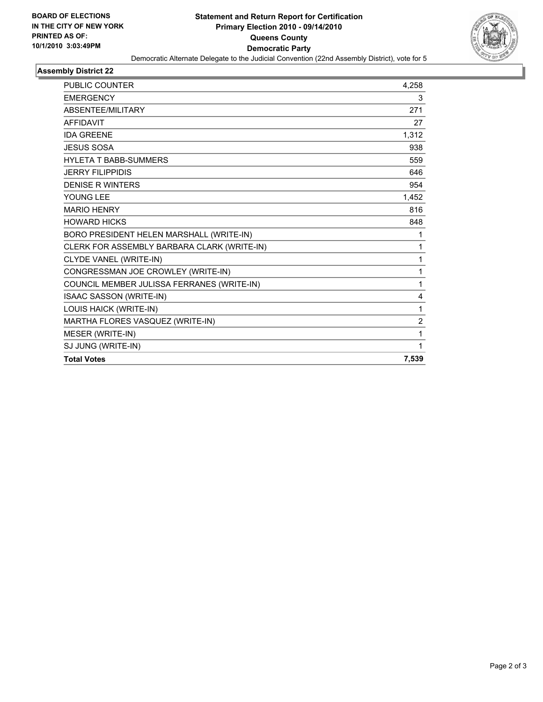

#### **Assembly District 22**

| <b>PUBLIC COUNTER</b>                       | 4,258          |
|---------------------------------------------|----------------|
| <b>EMERGENCY</b>                            | 3              |
| <b>ABSENTEE/MILITARY</b>                    | 271            |
| <b>AFFIDAVIT</b>                            | 27             |
| <b>IDA GREENE</b>                           | 1,312          |
| <b>JESUS SOSA</b>                           | 938            |
| <b>HYLETA T BABB-SUMMERS</b>                | 559            |
| <b>JERRY FILIPPIDIS</b>                     | 646            |
| <b>DENISE R WINTERS</b>                     | 954            |
| YOUNG LEE                                   | 1,452          |
| <b>MARIO HENRY</b>                          | 816            |
| <b>HOWARD HICKS</b>                         | 848            |
| BORO PRESIDENT HELEN MARSHALL (WRITE-IN)    | 1              |
| CLERK FOR ASSEMBLY BARBARA CLARK (WRITE-IN) | 1              |
| CLYDE VANEL (WRITE-IN)                      | 1              |
| CONGRESSMAN JOE CROWLEY (WRITE-IN)          | 1              |
| COUNCIL MEMBER JULISSA FERRANES (WRITE-IN)  | 1              |
| ISAAC SASSON (WRITE-IN)                     | 4              |
| LOUIS HAICK (WRITE-IN)                      | 1              |
| MARTHA FLORES VASQUEZ (WRITE-IN)            | $\overline{2}$ |
| MESER (WRITE-IN)                            | 1              |
| SJ JUNG (WRITE-IN)                          | 1              |
| <b>Total Votes</b>                          | 7,539          |